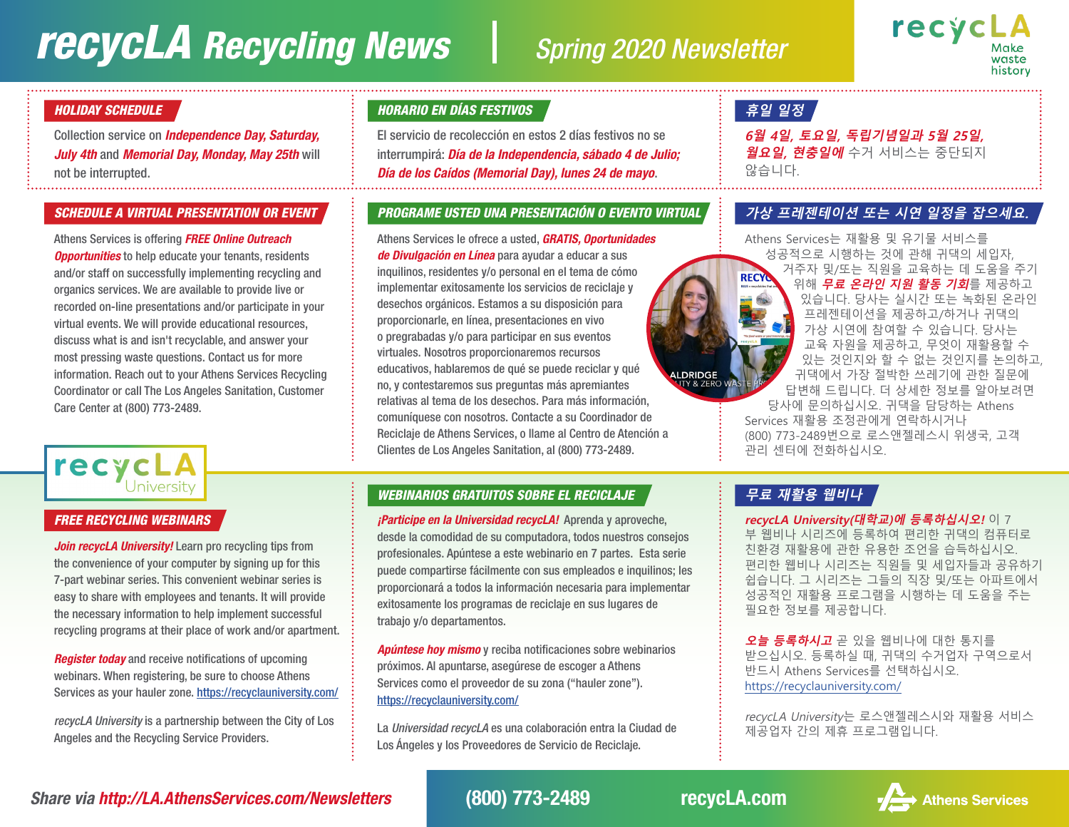## *recycLA* Recycling News Spring 2020 Newsletter

**ALDRIDGE**<br>LUTY & ZERC



#### *HOLIDAY SCHEDULE*

Collection service on *Independence Day, Saturday, July 4th* and *Memorial Day, Monday, May 25th* will not be interrupted.

#### *SCHEDULE A VIRTUAL PRESENTATION OR EVENT*

Athens Services is offering *FREE Online Outreach Opportunities* to help educate your tenants, residents and/or staff on successfully implementing recycling and organics services. We are available to provide live or recorded on-line presentations and/or participate in your virtual events. We will provide educational resources, discuss what is and isn't recyclable, and answer your most pressing waste questions. Contact us for more information. Reach out to your Athens Services Recycling Coordinator or call The Los Angeles Sanitation, Customer Care Center at (800) 773-2489.

# **recycLA**

#### *FREE RECYCLING WEBINARS*

*Join recycLA University!* Learn pro recycling tips from the convenience of your computer by signing up for this 7-part webinar series. This convenient webinar series is easy to share with employees and tenants. It will provide the necessary information to help implement successful recycling programs at their place of work and/or apartment.

*Register today* and receive notifications of upcoming webinars. When registering, be sure to choose Athens Services as your hauler zone. <https://recyclauniversity.com/>

*recycLA University* is a partnership between the City of Los Angeles and the Recycling Service Providers.

#### *HORARIO EN DÍAS FESTIVOS*

El servicio de recolección en estos 2 días festivos no se interrumpirá: *Día de la Independencia, sábado 4 de Julio; Día de los Caídos (Memorial Day), lunes 24 de mayo*.

#### *PROGRAME USTED UNA PRESENTACIÓN O EVENTO VIRTUAL*

Athens Services le ofrece a usted, *GRATIS, Oportunidades de Divulgación en Línea* para ayudar a educar a sus inquilinos, residentes y/o personal en el tema de cómo implementar exitosamente los servicios de reciclaje y desechos orgánicos. Estamos a su disposición para proporcionarle, en línea, presentaciones en vivo o pregrabadas y/o para participar en sus eventos virtuales. Nosotros proporcionaremos recursos educativos, hablaremos de qué se puede reciclar y qué no, y contestaremos sus preguntas más apremiantes relativas al tema de los desechos. Para más información, comuníquese con nosotros. Contacte a su Coordinador de Reciclaje de Athens Services, o llame al Centro de Atención a Clientes de Los Angeles Sanitation, al (800) 773-2489.

### *WEBINARIOS GRATUITOS SOBRE EL RECICLAJE* **무료 재활용 웹비나**

*¡Participe en la Universidad recycLA!* Aprenda y aproveche, desde la comodidad de su computadora, todos nuestros consejos profesionales. Apúntese a este webinario en 7 partes. Esta serie puede compartirse fácilmente con sus empleados e inquilinos; les proporcionará a todos la información necesaria para implementar exitosamente los programas de reciclaje en sus lugares de trabajo y/o departamentos.

*Apúntese hoy mismo* y reciba notificaciones sobre webinarios próximos. Al apuntarse, asegúrese de escoger a Athens Services como el proveedor de su zona ("hauler zone"). <https://recyclauniversity.com/>

La *Universidad recycLA* es una colaboración entra la Ciudad de Los Ángeles y los Proveedores de Servicio de Reciclaje.

## **휴일 일정**

**6월 4일, 토요일, 독립기념일과 5월 25일, 월요일, 현충일에** 수거 서비스는 중단되지 않습니다.

#### **가상 프레젠테이션 또는 시연 일정을 잡으세요.**

Athens Services는 재활용 및 유기물 서비스를 성공적으로 시행하는 것에 관해 귀댁의 세입자, 거주자 및/또는 직원을 교육하는 데 도움을 주기 **RECYO** 위해 **무료 온라인 지원 활동 기회**를 제공하고 있습니다. 당사는 실시간 또는 녹화된 온라인 프레젠테이션을 제공하고/하거나 귀댁의 가상 시연에 참여할 수 있습니다. 당사는 교육 자원을 제공하고, 무엇이 재활용할 수 있는 것인지와 할 수 없는 것인지를 논의하고, 귀댁에서 가장 절박한 쓰레기에 관한 질문에 답변해 드립니다. 더 상세한 정보를 알아보려면 당사에 문의하십시오. 귀댁을 담당하는 Athens Services 재활용 조정관에게 연락하시거나 (800) 773-2489번으로 로스앤젤레스시 위생국, 고객 관리 센터에 전화하십시오.

**recycLA University(대학교)에 등록하십시오!** 이 7 부 웹비나 시리즈에 등록하여 편리한 귀댁의 컴퓨터로 친환경 재활용에 관한 유용한 조언을 습득하십시오. 편리한 웹비나 시리즈는 직원들 및 세입자들과 공유하기 쉽습니다. 그 시리즈는 그들의 직장 및/또는 아파트에서 성공적인 재활용 프로그램을 시행하는 데 도움을 주는 필요한 정보를 제공합니다.

**오늘 등록하시고** 곧 있을 웹비나에 대한 통지를 받으십시오. 등록하실 때, 귀댁의 수거업자 구역으로서 반드시 Athens Services를 선택하십시오. <https://recyclauniversity.com/>

recycLA University는 로스앤젤레스시와 재활용 서비스 제공업자 간의 제휴 프로그램입니다.

*Share via http://LA.AthensServices.com/Newsletters* (800) 773-2489 recycLA.com